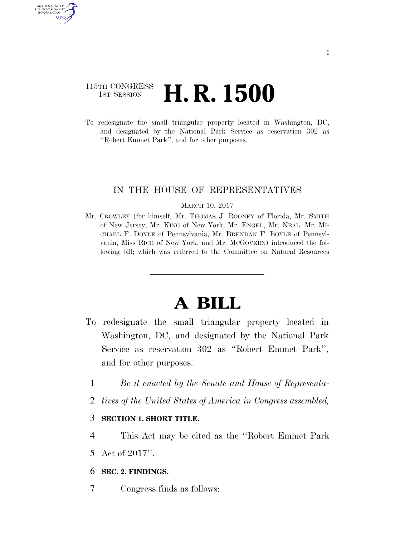## 115TH CONGRESS **1st Session H. R. 1500**

AUTHENTICATED U.S. GOVERNMENT GPO

> To redesignate the small triangular property located in Washington, DC, and designated by the National Park Service as reservation 302 as ''Robert Emmet Park'', and for other purposes.

## IN THE HOUSE OF REPRESENTATIVES

## MARCH 10, 2017

Mr. CROWLEY (for himself, Mr. THOMAS J. ROONEY of Florida, Mr. SMITH of New Jersey, Mr. KING of New York, Mr. ENGEL, Mr. NEAL, Mr. MI-CHAEL F. DOYLE of Pennsylvania, Mr. BRENDAN F. BOYLE of Pennsylvania, Miss RICE of New York, and Mr. MCGOVERN) introduced the following bill; which was referred to the Committee on Natural Resources

## **A BILL**

- To redesignate the small triangular property located in Washington, DC, and designated by the National Park Service as reservation 302 as ''Robert Emmet Park'', and for other purposes.
	- 1 *Be it enacted by the Senate and House of Representa-*
	- 2 *tives of the United States of America in Congress assembled,*
	- 3 **SECTION 1. SHORT TITLE.**
	- 4 This Act may be cited as the ''Robert Emmet Park 5 Act of 2017''.
	- 6 **SEC. 2. FINDINGS.**
	- 7 Congress finds as follows: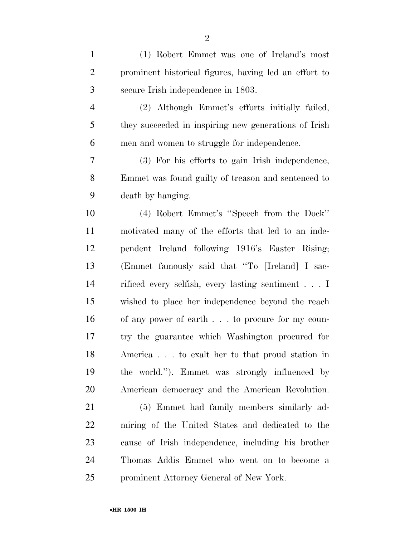| $\mathbf{1}$   | (1) Robert Emmet was one of Ireland's most                |
|----------------|-----------------------------------------------------------|
| $\overline{2}$ | prominent historical figures, having led an effort to     |
| 3              | secure Irish independence in 1803.                        |
| $\overline{4}$ | (2) Although Emmet's efforts initially failed,            |
| 5              | they succeeded in inspiring new generations of Irish      |
| 6              | men and women to struggle for independence.               |
| 7              | (3) For his efforts to gain Irish independence,           |
| 8              | Emmet was found guilty of treason and sentenced to        |
| 9              | death by hanging.                                         |
| 10             | (4) Robert Emmet's "Speech from the Dock"                 |
| 11             | motivated many of the efforts that led to an inde-        |
| 12             | pendent Ireland following 1916's Easter Rising;           |
| 13             | (Emmet famously said that "To [Ireland] I sac-            |
| 14             | rificed every selfish, every lasting sentiment $\ldots$ I |
| 15             | wished to place her independence beyond the reach         |
| 16             | of any power of earth to procure for my coun-             |
| 17             | try the guarantee which Washington procured for           |
| 18             | America to exalt her to that proud station in             |
| 19             | the world."). Emmet was strongly influenced by            |
| 20             | American democracy and the American Revolution.           |
| 21             | (5) Emmet had family members similarly ad-                |
| 22             | miring of the United States and dedicated to the          |
| 23             | cause of Irish independence, including his brother        |
| 24             | Thomas Addis Emmet who went on to become a                |
| 25             | prominent Attorney General of New York.                   |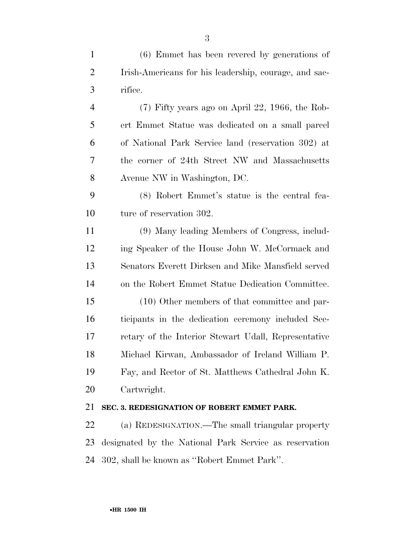| $\mathbf{1}$   | $(6)$ Emmet has been revered by generations of         |
|----------------|--------------------------------------------------------|
| $\overline{2}$ | Irish-Americans for his leadership, courage, and sac-  |
| 3              | rifice.                                                |
| $\overline{4}$ | $(7)$ Fifty years ago on April 22, 1966, the Rob-      |
| 5              | ert Emmet Statue was dedicated on a small parcel       |
| 6              | of National Park Service land (reservation 302) at     |
| 7              | the corner of 24th Street NW and Massachusetts         |
| 8              | Avenue NW in Washington, DC.                           |
| 9              | (8) Robert Emmet's statue is the central fea-          |
| 10             | ture of reservation 302.                               |
| 11             | (9) Many leading Members of Congress, includ-          |
| 12             | ing Speaker of the House John W. McCormack and         |
| 13             | Senators Everett Dirksen and Mike Mansfield served     |
| 14             | on the Robert Emmet Statue Dedication Committee.       |
| 15             | (10) Other members of that committee and par-          |
| 16             | ticipants in the dedication ceremony included Sec-     |
| 17             | retary of the Interior Stewart Udall, Representative   |
| 18             | Michael Kirwan, Ambassador of Ireland William P.       |
| 19             | Fay, and Rector of St. Matthews Cathedral John K.      |
| 20             | Cartwright.                                            |
| 21             | SEC. 3. REDESIGNATION OF ROBERT EMMET PARK.            |
| 22             | (a) REDESIGNATION.—The small triangular property       |
| 23             | designated by the National Park Service as reservation |

302, shall be known as ''Robert Emmet Park''.